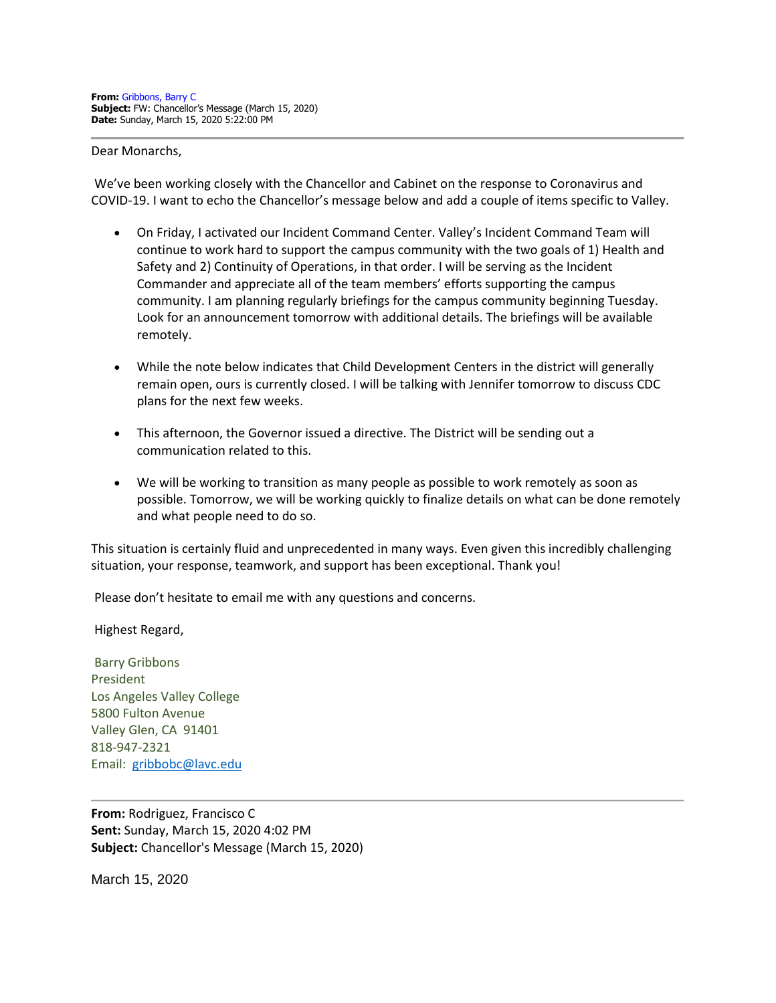#### Dear Monarchs,

We've been working closely with the Chancellor and Cabinet on the response to Coronavirus and COVID-19. I want to echo the Chancellor's message below and add a couple of items specific to Valley.

- On Friday, I activated our Incident Command Center. Valley's Incident Command Team will continue to work hard to support the campus community with the two goals of 1) Health and Safety and 2) Continuity of Operations, in that order. I will be serving as the Incident Commander and appreciate all of the team members' efforts supporting the campus community. I am planning regularly briefings for the campus community beginning Tuesday. Look for an announcement tomorrow with additional details. The briefings will be available remotely.
- While the note below indicates that Child Development Centers in the district will generally remain open, ours is currently closed. I will be talking with Jennifer tomorrow to discuss CDC plans for the next few weeks.
- This afternoon, the Governor issued a directive. The District will be sending out a communication related to this.
- We will be working to transition as many people as possible to work remotely as soon as possible. Tomorrow, we will be working quickly to finalize details on what can be done remotely and what people need to do so.

This situation is certainly fluid and unprecedented in many ways. Even given this incredibly challenging situation, your response, teamwork, and support has been exceptional. Thank you!

Please don't hesitate to email me with any questions and concerns.

Highest Regard,

Barry Gribbons President Los Angeles Valley College 5800 Fulton Avenue Valley Glen, CA 91401 818-947-2321 Email: [gribbobc@lavc.edu](mailto:gribbobc@lavc.edu)

**From:** Rodriguez, Francisco C **Sent:** Sunday, March 15, 2020 4:02 PM **Subject:** Chancellor's Message (March 15, 2020)

March 15, 2020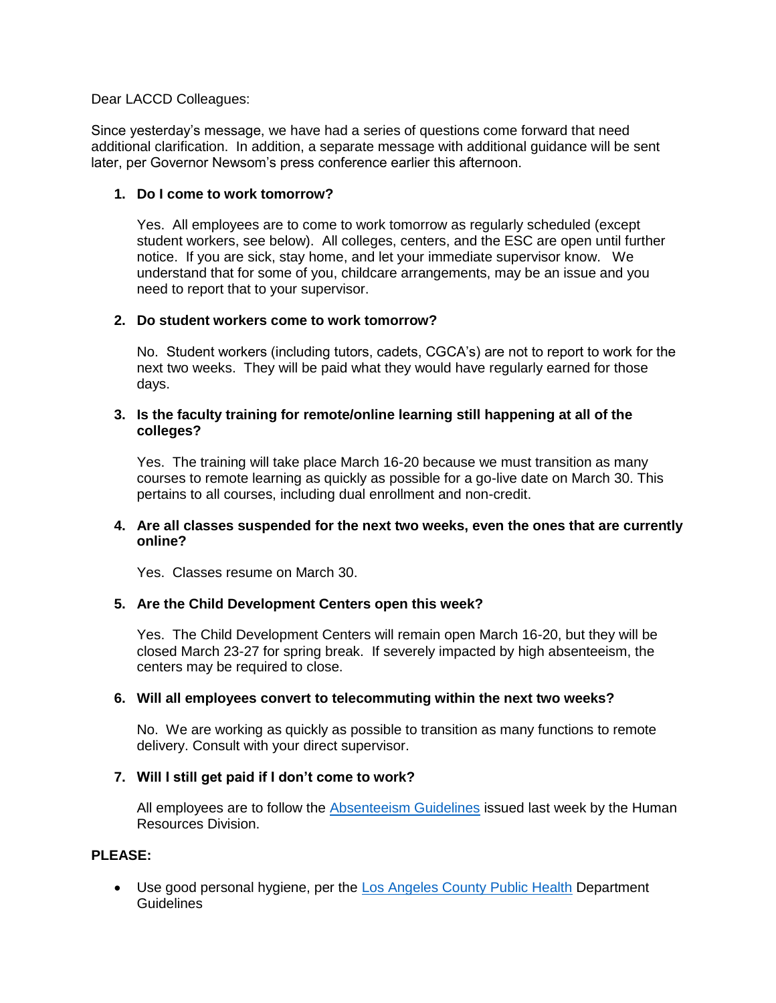#### Dear LACCD Colleagues:

Since yesterday's message, we have had a series of questions come forward that need additional clarification. In addition, a separate message with additional guidance will be sent later, per Governor Newsom's press conference earlier this afternoon.

## **1. Do I come to work tomorrow?**

Yes. All employees are to come to work tomorrow as regularly scheduled (except student workers, see below). All colleges, centers, and the ESC are open until further notice. If you are sick, stay home, and let your immediate supervisor know. We understand that for some of you, childcare arrangements, may be an issue and you need to report that to your supervisor.

### **2. Do student workers come to work tomorrow?**

No. Student workers (including tutors, cadets, CGCA's) are not to report to work for the next two weeks. They will be paid what they would have regularly earned for those days.

### **3. Is the faculty training for remote/online learning still happening at all of the colleges?**

Yes. The training will take place March 16-20 because we must transition as many courses to remote learning as quickly as possible for a go-live date on March 30. This pertains to all courses, including dual enrollment and non-credit.

### **4. Are all classes suspended for the next two weeks, even the ones that are currently online?**

Yes. Classes resume on March 30.

## **5. Are the Child Development Centers open this week?**

Yes. The Child Development Centers will remain open March 16-20, but they will be closed March 23-27 for spring break. If severely impacted by high absenteeism, the centers may be required to close.

## **6. Will all employees convert to telecommuting within the next two weeks?**

No. We are working as quickly as possible to transition as many functions to remote delivery. Consult with your direct supervisor.

## **7. Will I still get paid if I don't come to work?**

All employees are to follow the **Absenteeism Guidelines** issued last week by the Human Resources Division.

# **PLEASE:**

• Use good personal hygiene, per the [Los Angeles County Public Health](http://publichealth.lacounty.gov/media/Coronavirus/) Department Guidelines